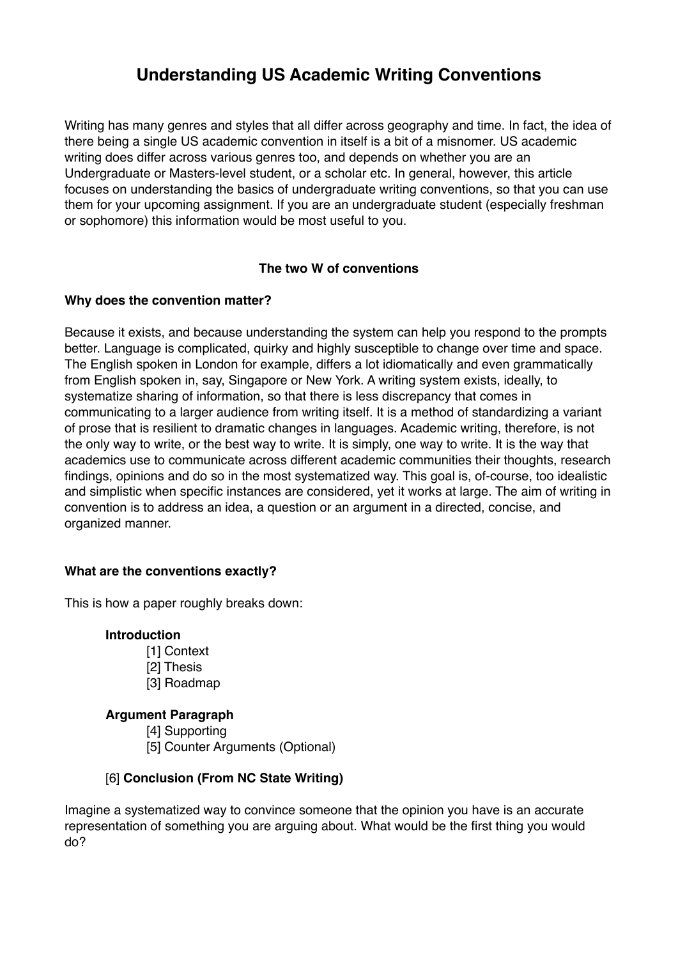# **Understanding US Academic Writing Conventions**

Writing has many genres and styles that all differ across geography and time. In fact, the idea of there being a single US academic convention in itself is a bit of a misnomer. US academic writing does differ across various genres too, and depends on whether you are an Undergraduate or Masters-level student, or a scholar etc. In general, however, this article focuses on understanding the basics of undergraduate writing conventions, so that you can use them for your upcoming assignment. If you are an undergraduate student (especially freshman or sophomore) this information would be most useful to you.

## **The two W of conventions**

## **Why does the convention matter?**

Because it exists, and because understanding the system can help you respond to the prompts better. Language is complicated, quirky and highly susceptible to change over time and space. The English spoken in London for example, differs a lot idiomatically and even grammatically from English spoken in, say, Singapore or New York. A writing system exists, ideally, to systematize sharing of information, so that there is less discrepancy that comes in communicating to a larger audience from writing itself. It is a method of standardizing a variant of prose that is resilient to dramatic changes in languages. Academic writing, therefore, is not the only way to write, or the best way to write. It is simply, one way to write. It is the way that academics use to communicate across different academic communities their thoughts, research findings, opinions and do so in the most systematized way. This goal is, of-course, too idealistic and simplistic when specific instances are considered, yet it works at large. The aim of writing in convention is to address an idea, a question or an argument in a directed, concise, and organized manner.

## **What are the conventions exactly?**

This is how a paper roughly breaks down:

## **Introduction**

- [1] Context [2] Thesis
- [3] Roadmap

## **Argument Paragraph**

[4] Supporting [5] Counter Arguments (Optional)

## [6] **Conclusion (From NC State Writing)**

Imagine a systematized way to convince someone that the opinion you have is an accurate representation of something you are arguing about. What would be the first thing you would do?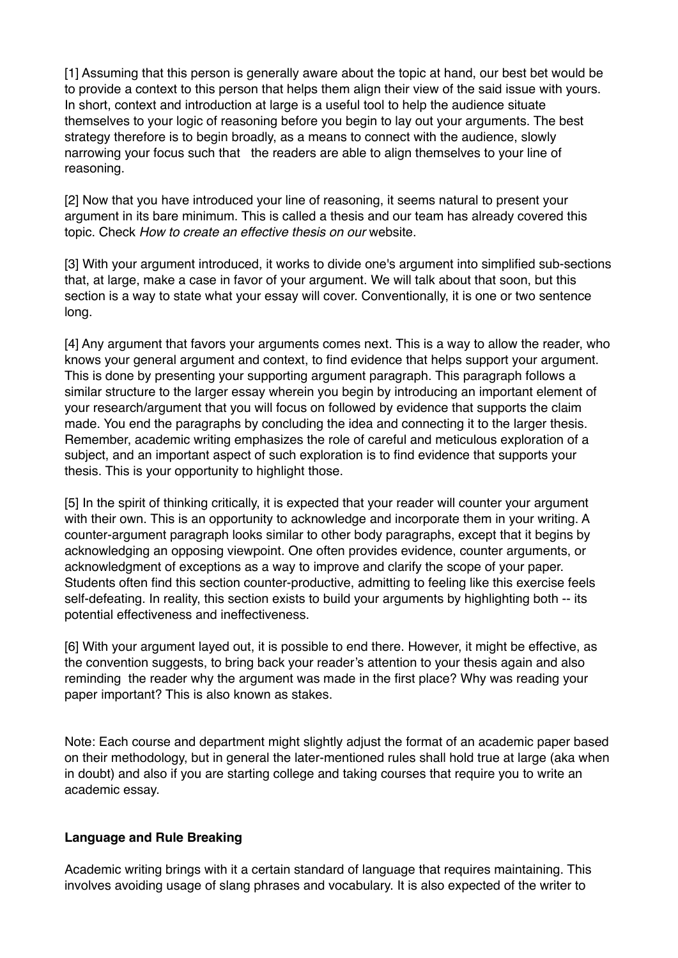[1] Assuming that this person is generally aware about the topic at hand, our best bet would be to provide a context to this person that helps them align their view of the said issue with yours. In short, context and introduction at large is a useful tool to help the audience situate themselves to your logic of reasoning before you begin to lay out your arguments. The best strategy therefore is to begin broadly, as a means to connect with the audience, slowly narrowing your focus such that the readers are able to align themselves to your line of reasoning.

[2] Now that you have introduced your line of reasoning, it seems natural to present your argument in its bare minimum. This is called a thesis and our team has already covered this topic. Check *How to create an effective thesis on our* website.

[3] With your argument introduced, it works to divide one's argument into simplified sub-sections that, at large, make a case in favor of your argument. We will talk about that soon, but this section is a way to state what your essay will cover. Conventionally, it is one or two sentence long.

[4] Any argument that favors your arguments comes next. This is a way to allow the reader, who knows your general argument and context, to find evidence that helps support your argument. This is done by presenting your supporting argument paragraph. This paragraph follows a similar structure to the larger essay wherein you begin by introducing an important element of your research/argument that you will focus on followed by evidence that supports the claim made. You end the paragraphs by concluding the idea and connecting it to the larger thesis. Remember, academic writing emphasizes the role of careful and meticulous exploration of a subject, and an important aspect of such exploration is to find evidence that supports your thesis. This is your opportunity to highlight those.

[5] In the spirit of thinking critically, it is expected that your reader will counter your argument with their own. This is an opportunity to acknowledge and incorporate them in your writing. A counter-argument paragraph looks similar to other body paragraphs, except that it begins by acknowledging an opposing viewpoint. One often provides evidence, counter arguments, or acknowledgment of exceptions as a way to improve and clarify the scope of your paper. Students often find this section counter-productive, admitting to feeling like this exercise feels self-defeating. In reality, this section exists to build your arguments by highlighting both -- its potential effectiveness and ineffectiveness.

[6] With your argument layed out, it is possible to end there. However, it might be effective, as the convention suggests, to bring back your reader's attention to your thesis again and also reminding the reader why the argument was made in the first place? Why was reading your paper important? This is also known as stakes.

Note: Each course and department might slightly adjust the format of an academic paper based on their methodology, but in general the later-mentioned rules shall hold true at large (aka when in doubt) and also if you are starting college and taking courses that require you to write an academic essay.

#### **Language and Rule Breaking**

Academic writing brings with it a certain standard of language that requires maintaining. This involves avoiding usage of slang phrases and vocabulary. It is also expected of the writer to